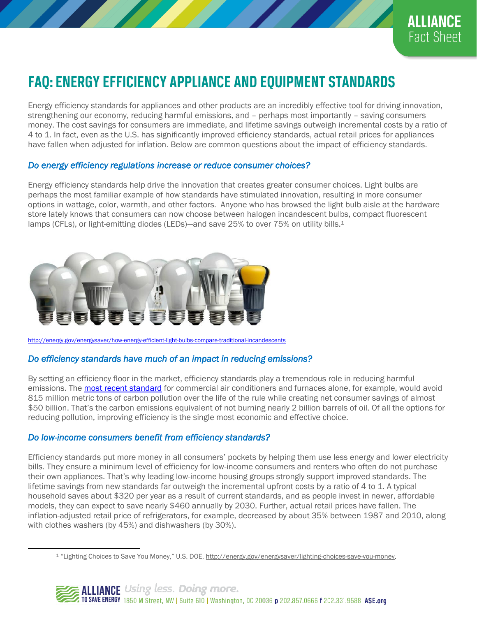

# **FAQ: ENERGY EFFICIENCY APPLIANCE AND EQUIPMENT STANDARDS**

Energy efficiency standards for appliances and other products are an incredibly effective tool for driving innovation, strengthening our economy, reducing harmful emissions, and – perhaps most importantly – saving consumers money. The cost savings for consumers are immediate, and lifetime savings outweigh incremental costs by a ratio of 4 to 1. In fact, even as the U.S. has significantly improved efficiency standards, actual retail prices for appliances have fallen when adjusted for inflation. Below are common questions about the impact of efficiency standards.

#### *Do energy efficiency regulations increase or reduce consumer choices?*

Energy efficiency standards help drive the innovation that creates greater consumer choices. Light bulbs are perhaps the most familiar example of how standards have stimulated innovation, resulting in more consumer options in wattage, color, warmth, and other factors. Anyone who has browsed the light bulb aisle at the hardware store lately knows that consumers can now choose between halogen incandescent bulbs, compact fluorescent lamps (CFLs), or light-emitting diodes (LEDs)—and save 25% to over 75% on utility bills.<sup>1</sup>



<http://energy.gov/energysaver/how-energy-efficient-light-bulbs-compare-traditional-incandescents>

### *Do efficiency standards have much of an impact in reducing emissions?*

By setting an efficiency floor in the market, efficiency standards play a tremendous role in reducing harmful emissions. The [most recent standard](https://www.nrdc.org/experts/meg-waltner/major-agreement-rooftop-air-conditioners-will-lead-biggest-energy-savings-yet) for commercial air conditioners and furnaces alone, for example, would avoid 815 million metric tons of carbon pollution over the life of the rule while creating net consumer savings of almost \$50 billion. That's the carbon emissions equivalent of not burning nearly 2 billion barrels of oil. Of all the options for reducing pollution, improving efficiency is the single most economic and effective choice.

### *Do low-income consumers benefit from efficiency standards?*

 $\overline{a}$ 

Efficiency standards put more money in all consumers' pockets by helping them use less energy and lower electricity bills. They ensure a minimum level of efficiency for low-income consumers and renters who often do not purchase their own appliances. That's why leading low-income housing groups strongly support improved standards. The lifetime savings from new standards far outweigh the incremental upfront costs by a ratio of 4 to 1. A typical household saves about \$320 per year as a result of current standards, and as people invest in newer, affordable models, they can expect to save nearly \$460 annually by 2030. Further, actual retail prices have fallen. The inflation-adjusted retail price of refrigerators, for example, decreased by about 35% between 1987 and 2010, along with clothes washers (by 45%) and dishwashers (by 30%).

<sup>1 &</sup>quot;Lighting Choices to Save You Money," U.S. DOE, http://energy.gov/energysaver/lighting-choices-save-you-money.